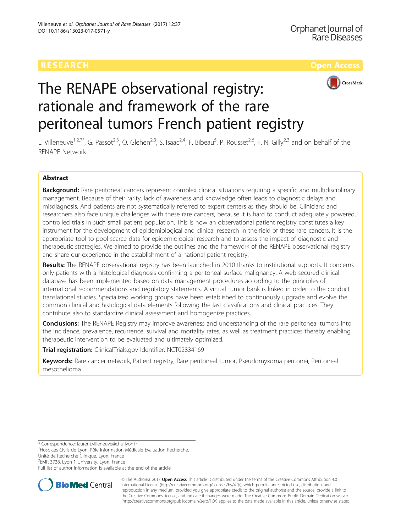# **RESEARCH CHEAR CHEAR CHEAR CHEAR CHEAR CHEAR CHEAR CHEAR CHEAR CHEAR CHEAR CHEAR CHEAR CHEAR CHEAR CHEAR CHEAR**



# The RENAPE observational registry: rationale and framework of the rare peritoneal tumors French patient registry

L. Villeneuve<sup>1,2,7\*</sup>, G. Passot<sup>2,3</sup>, O. Glehen<sup>2,3</sup>, S. Isaac<sup>2,4</sup>, F. Bibeau<sup>5</sup>, P. Rousset<sup>2,6</sup>, F. N. Gilly<sup>2,3</sup> and on behalf of the RENAPE Network

# Abstract

Background: Rare peritoneal cancers represent complex clinical situations requiring a specific and multidisciplinary management. Because of their rarity, lack of awareness and knowledge often leads to diagnostic delays and misdiagnosis. And patients are not systematically referred to expert centers as they should be. Clinicians and researchers also face unique challenges with these rare cancers, because it is hard to conduct adequately powered, controlled trials in such small patient population. This is how an observational patient registry constitutes a key instrument for the development of epidemiological and clinical research in the field of these rare cancers. It is the appropriate tool to pool scarce data for epidemiological research and to assess the impact of diagnostic and therapeutic strategies. We aimed to provide the outlines and the framework of the RENAPE observational registry and share our experience in the establishment of a national patient registry.

Results: The RENAPE observational registry has been launched in 2010 thanks to institutional supports. It concerns only patients with a histological diagnosis confirming a peritoneal surface malignancy. A web secured clinical database has been implemented based on data management procedures according to the principles of international recommendations and regulatory statements. A virtual tumor bank is linked in order to the conduct translational studies. Specialized working groups have been established to continuously upgrade and evolve the common clinical and histological data elements following the last classifications and clinical practices. They contribute also to standardize clinical assessment and homogenize practices.

**Conclusions:** The RENAPE Registry may improve awareness and understanding of the rare peritoneal tumors into the incidence, prevalence, recurrence, survival and mortality rates, as well as treatment practices thereby enabling therapeutic intervention to be evaluated and ultimately optimized.

Trial registration: ClinicalTrials.gov Identifier: [NCT02834169](https://clinicaltrials.gov/ct2/show/NCT02834169)

Keywords: Rare cancer network, Patient registry, Rare peritoneal tumor, Pseudomyxoma peritonei, Peritoneal mesothelioma

\* Correspondence: [laurent.villeneuve@chu-lyon.fr](mailto:laurent.villeneuve@chu-lyon.fr) <sup>1</sup>

<sup>1</sup>Hospices Civils de Lyon, Pôle Information Médicale Evaluation Recherche, Unité de Recherche Clinique, Lyon, France

<sup>2</sup>EMR 3738, Lyon 1 University, Lyon, France

Full list of author information is available at the end of the article



© The Author(s). 2017 **Open Access** This article is distributed under the terms of the Creative Commons Attribution 4.0 International License [\(http://creativecommons.org/licenses/by/4.0/](http://creativecommons.org/licenses/by/4.0/)), which permits unrestricted use, distribution, and reproduction in any medium, provided you give appropriate credit to the original author(s) and the source, provide a link to the Creative Commons license, and indicate if changes were made. The Creative Commons Public Domain Dedication waiver [\(http://creativecommons.org/publicdomain/zero/1.0/](http://creativecommons.org/publicdomain/zero/1.0/)) applies to the data made available in this article, unless otherwise stated.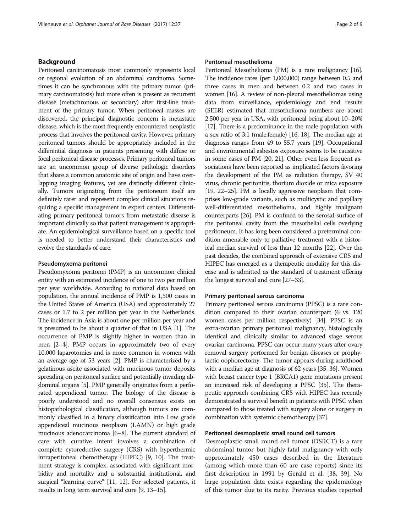# Background

Peritoneal carcinomatosis most commonly represents local or regional evolution of an abdominal carcinoma. Sometimes it can be synchronous with the primary tumor (primary carcinomatosis) but more often is present as recurrent disease (metachronous or secondary) after first-line treatment of the primary tumor. When peritoneal masses are discovered, the principal diagnostic concern is metastatic disease, which is the most frequently encountered neoplastic process that involves the peritoneal cavity. However, primary peritoneal tumors should be appropriately included in the differential diagnosis in patients presenting with diffuse or focal peritoneal disease processes. Primary peritoneal tumors are an uncommon group of diverse pathologic disorders that share a common anatomic site of origin and have overlapping imaging features, yet are distinctly different clinically. Tumors originating from the peritoneum itself are definitely rarer and represent complex clinical situations requiring a specific management in expert centers. Differentiating primary peritoneal tumors from metastatic disease is important clinically so that patient management is appropriate. An epidemiological surveillance based on a specific tool is needed to better understand their characteristics and evolve the standards of care.

# Pseudomyxoma peritonei

Pseudomyxoma peritonei (PMP) is an uncommon clinical entity with an estimated incidence of one to two per million per year worldwide. According to national data based on population, the annual incidence of PMP is 1,500 cases in the United States of America (USA) and approximately 27 cases or 1.7 to 2 per million per year in the Netherlands. The incidence in Asia is about one per million per year and is presumed to be about a quarter of that in USA [[1\]](#page-7-0). The occurrence of PMP is slightly higher in women than in men [\[2](#page-7-0)–[4\]](#page-7-0). PMP occurs in approximately two of every 10,000 laparotomies and is more common in women with an average age of 53 years [\[2\]](#page-7-0). PMP is characterized by a gelatinous ascite associated with mucinous tumor deposits spreading on peritoneal surface and potentially invading abdominal organs [[5](#page-7-0)]. PMP generally originates from a perforated appendiceal tumor. The biology of the disease is poorly understood and no overall consensus exists on histopathological classification, although tumors are commonly classified in a binary classification into Low grade appendiceal mucinous neoplasm (LAMN) or high grade mucinous adenocarcinoma [\[6](#page-7-0)–[8](#page-7-0)]. The current standard of care with curative intent involves a combination of complete cytoreductive surgery (CRS) with hyperthermic intraperitoneal chemotherapy (HIPEC) [\[9](#page-7-0), [10\]](#page-7-0). The treatment strategy is complex, associated with significant morbidity and mortality and a substantial institutional, and surgical "learning curve" [[11](#page-7-0), [12\]](#page-7-0). For selected patients, it results in long term survival and cure [[9](#page-7-0), [13](#page-7-0)–[15](#page-7-0)].

# Peritoneal mesothelioma

Peritoneal Mesothelioma (PM) is a rare malignancy [\[16](#page-7-0)]. The incidence rates (per 1,000,000) range between 0.5 and three cases in men and between 0.2 and two cases in women [\[16](#page-7-0)]. A review of non-pleural mesotheliomas using data from surveillance, epidemiology and end results (SEER) estimated that mesothelioma numbers are about 2,500 per year in USA, with peritoneal being about 10–20% [[17](#page-7-0)]. There is a predominance in the male population with a sex ratio of 3:1 (male:female) [\[16, 18](#page-7-0)]. The median age at diagnosis ranges from 49 to 55.7 years [\[19](#page-7-0)]. Occupational and environmental asbestos exposure seems to be causative in some cases of PM [\[20](#page-8-0), [21\]](#page-8-0). Other even less frequent associations have been reported as implicated factors favoring the development of the PM as radiation therapy, SV 40 virus, chronic peritonitis, thorium dioxide or mica exposure [[19](#page-7-0), [22](#page-8-0)–[25\]](#page-8-0). PM is locally aggressive neoplasm that comprises low-grade variants, such as multicystic and papillary well-differentiated mesothelioma, and highly malignant counterparts [[26](#page-8-0)]. PM is confıned to the serosal surface of the peritoneal cavity from the mesothelial cells overlying peritoneum. It has long been considered a preterminal condition amenable only to palliative treatment with a historical median survival of less than 12 months [\[22\]](#page-8-0). Over the past decades, the combined approach of extensive CRS and HIPEC has emerged as a therapeutic modality for this disease and is admitted as the standard of treatment offering the longest survival and cure [[27](#page-8-0)–[33](#page-8-0)].

# Primary peritoneal serous carcinoma

Primary peritoneal serous carcinoma (PPSC) is a rare condition compared to their ovarian counterpart (6 vs. 120 women cases per million respectively) [\[34\]](#page-8-0). PPSC is an extra-ovarian primary peritoneal malignancy, histologically identical and clinically similar to advanced stage serous ovarian carcinoma. PPSC can occur many years after ovary removal surgery performed for benign diseases or prophylactic oophorectomy. The tumor appears during adulthood with a median age at diagnosis of 62 years [\[35, 36\]](#page-8-0). Women with breast cancer type 1 (BRCA1) gene mutations present an increased risk of developing a PPSC [\[35](#page-8-0)]. The therapeutic approach combining CRS with HIPEC has recently demonstrated a survival benefit in patients with PPSC when compared to those treated with surgery alone or surgery in combination with systemic chemotherapy [[37](#page-8-0)].

# Peritoneal desmoplastic small round cell tumors

Desmoplastic small round cell tumor (DSRCT) is a rare abdominal tumor but highly fatal malignancy with only approximately 450 cases described in the literature (among which more than 60 are case reports) since its first description in 1991 by Gerald et al. [\[38](#page-8-0), [39\]](#page-8-0). No large population data exists regarding the epidemiology of this tumor due to its rarity. Previous studies reported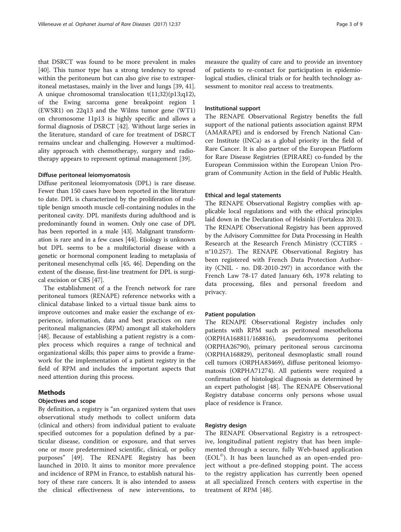that DSRCT was found to be more prevalent in males [[40\]](#page-8-0). This tumor type has a strong tendency to spread within the peritoneum but can also give rise to extraperitoneal metastases, mainly in the liver and lungs [\[39](#page-8-0), [41](#page-8-0)]. A unique chromosomal translocation t(11;32)(p13;q12), of the Ewing sarcoma gene breakpoint region 1 (EWSR1) on 22q13 and the Wilms tumor gene (WT1) on chromosome 11p13 is highly specific and allows a formal diagnosis of DSRCT [\[42\]](#page-8-0). Without large series in the literature, standard of care for treatment of DSRCT remains unclear and challenging. However a multimodality approach with chemotherapy, surgery and radiotherapy appears to represent optimal management [\[39](#page-8-0)].

# Diffuse peritoneal leiomyomatosis

Diffuse peritoneal leiomyomatosis (DPL) is rare disease. Fewer than 150 cases have been reported in the literature to date. DPL is characterized by the proliferation of multiple benign smooth muscle cell-containing nodules in the peritoneal cavity. DPL manifests during adulthood and is predominantly found in women. Only one case of DPL has been reported in a male [\[43\]](#page-8-0). Malignant transformation is rare and in a few cases [\[44](#page-8-0)]. Etiology is unknown but DPL seems to be a multifactorial disease with a genetic or hormonal component leading to metaplasia of peritoneal mesenchymal cells [[45](#page-8-0), [46\]](#page-8-0). Depending on the extent of the disease, first-line treatment for DPL is surgical excision or CRS [[47](#page-8-0)].

The establishment of a the French network for rare peritoneal tumors (RENAPE) reference networks with a clinical database linked to a virtual tissue bank aims to improve outcomes and make easier the exchange of experience, information, data and best practices on rare peritoneal malignancies (RPM) amongst all stakeholders [[48\]](#page-8-0). Because of establishing a patient registry is a complex process which requires a range of technical and organizational skills; this paper aims to provide a framework for the implementation of a patient registry in the field of RPM and includes the important aspects that need attention during this process.

# Methods

# Objectives and scope

By definition, a registry is "an organized system that uses observational study methods to collect uniform data (clinical and others) from individual patient to evaluate specified outcomes for a population defined by a particular disease, condition or exposure, and that serves one or more predetermined scientific, clinical, or policy purposes" [\[49](#page-8-0)]. The RENAPE Registry has been launched in 2010. It aims to monitor more prevalence and incidence of RPM in France, to establish natural history of these rare cancers. It is also intended to assess the clinical effectiveness of new interventions, to measure the quality of care and to provide an inventory of patients to re-contact for participation in epidemiological studies, clinical trials or for health technology assessment to monitor real access to treatments.

# Institutional support

The RENAPE Observational Registry benefits the full support of the national patients association against RPM (AMARAPE) and is endorsed by French National Cancer Institute (INCa) as a global priority in the field of Rare Cancer. It is also partner of the European Platform for Rare Disease Registries (EPIRARE) co-funded by the European Commission within the European Union Program of Community Action in the field of Public Health.

# Ethical and legal statements

The RENAPE Observational Registry complies with applicable local regulations and with the ethical principles laid down in the Declaration of Helsinki (Fortaleza 2013). The RENAPE Observational Registry has been approved by the Advisory Committee for Data Processing in Health Research at the Research French Ministry (CCTIRS n°10.257). The RENAPE Observational Registry has been registered with French Data Protection Authority (CNIL - no. DR-2010-297) in accordance with the French Law 78-17 dated January 6th, 1978 relating to data processing, files and personal freedom and privacy.

# Patient population

The RENAPE Observational Registry includes only patients with RPM such as peritoneal mesothelioma (ORPHA168811/168816), pseudomyxoma peritonei (ORPHA26790), primary peritoneal serous carcinoma (ORPHA168829), peritoneal desmoplastic small round cell tumors (ORPHA83469), diffuse peritoneal leiomyomatosis (ORPHA71274). All patients were required a confirmation of histological diagnosis as determined by an expert pathologist [[48\]](#page-8-0). The RENAPE Observational Registry database concerns only persons whose usual place of residence is France.

# Registry design

The RENAPE Observational Registry is a retrospective, longitudinal patient registry that has been implemented through a secure, fully Web-based application (EOL©). It has been launched as an open-ended project without a pre-defined stopping point. The access to the registry application has currently been opened at all specialized French centers with expertise in the treatment of RPM [[48\]](#page-8-0).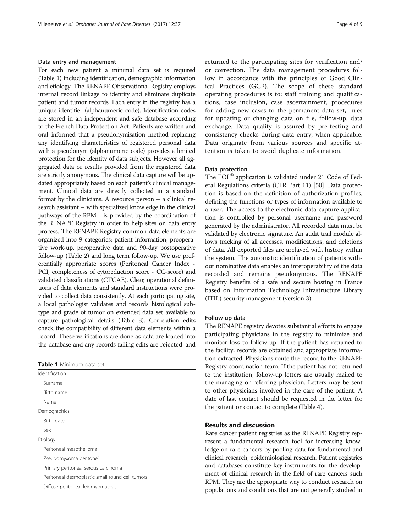# Data entry and management

For each new patient a minimal data set is required (Table 1) including identification, demographic information and etiology. The RENAPE Observational Registry employs internal record linkage to identify and eliminate duplicate patient and tumor records. Each entry in the registry has a unique identifier (alphanumeric code). Identification codes are stored in an independent and safe database according to the French Data Protection Act. Patients are written and oral informed that a pseudonymisation method replacing any identifying characteristics of registered personal data with a pseudonym (alphanumeric code) provides a limited protection for the identity of data subjects. However all aggregated data or results provided from the registered data are strictly anonymous. The clinical data capture will be updated appropriately based on each patient's clinical management. Clinical data are directly collected in a standard format by the clinicians. A resource person – a clinical research assistant – with specialized knowledge in the clinical pathways of the RPM - is provided by the coordination of the RENAPE Registry in order to help sites on data entry process. The RENAPE Registry common data elements are organized into 9 categories: patient information, preoperative work-up, peroperative data and 90-day postoperative follow-up (Table [2\)](#page-4-0) and long term follow-up. We use preferentially appropriate scores (Peritoneal Cancer Index - PCI, completeness of cytoreduction score - CC-score) and validated classifications (CTCAE). Clear, operational definitions of data elements and standard instructions were provided to collect data consistently. At each participating site, a local pathologist validates and records histological subtype and grade of tumor on extended data set available to capture pathological details (Table [3\)](#page-5-0). Correlation edits check the compatibility of different data elements within a record. These verifications are done as data are loaded into the database and any records failing edits are rejected and

|  | Table 1 Minimum data set |  |
|--|--------------------------|--|
|--|--------------------------|--|

| Identification                                  |  |
|-------------------------------------------------|--|
| Surname                                         |  |
| Birth name                                      |  |
| Name                                            |  |
| Demographics                                    |  |
| Birth date                                      |  |
| Sex                                             |  |
| Etiology                                        |  |
| Peritoneal mesothelioma                         |  |
| Pseudomyxoma peritonei                          |  |
| Primary peritoneal serous carcinoma             |  |
| Peritoneal desmoplastic small round cell tumors |  |
| Diffuse peritoneal leiomyomatosis               |  |

returned to the participating sites for verification and/ or correction. The data management procedures follow in accordance with the principles of Good Clinical Practices (GCP). The scope of these standard operating procedures is to: staff training and qualifications, case inclusion, case ascertainment, procedures for adding new cases to the permanent data set, rules for updating or changing data on file, follow-up, data exchange. Data quality is assured by pre-testing and consistency checks during data entry, when applicable. Data originate from various sources and specific attention is taken to avoid duplicate information.

# Data protection

The EOL<sup>®</sup> application is validated under 21 Code of Federal Regulations criteria (CFR Part 11) [[50](#page-8-0)]. Data protection is based on the definition of authorization profiles, defining the functions or types of information available to a user. The access to the electronic data capture application is controlled by personal username and password generated by the administrator. All recorded data must be validated by electronic signature. An audit trail module allows tracking of all accesses, modifications, and deletions of data. All exported files are archived with history within the system. The automatic identification of patients without nominative data enables an interoperability of the data recorded and remains pseudonymous. The RENAPE Registry benefits of a safe and secure hosting in France based on Information Technology Infrastructure Library (ITIL) security management (version 3).

#### Follow up data

The RENAPE registry devotes substantial efforts to engage participating physicians in the registry to minimize and monitor loss to follow-up. If the patient has returned to the facility, records are obtained and appropriate information extracted. Physicians route the record to the RENAPE Registry coordination team. If the patient has not returned to the institution, follow-up letters are usually mailed to the managing or referring physician. Letters may be sent to other physicians involved in the care of the patient. A date of last contact should be requested in the letter for the patient or contact to complete (Table [4](#page-5-0)).

# Results and discussion

Rare cancer patient registries as the RENAPE Registry represent a fundamental research tool for increasing knowledge on rare cancers by pooling data for fundamental and clinical research, epidemiological research. Patient registries and databases constitute key instruments for the development of clinical research in the field of rare cancers such RPM. They are the appropriate way to conduct research on populations and conditions that are not generally studied in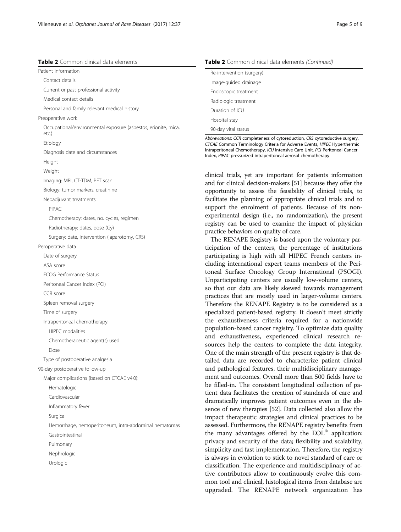Occupational/environmental exposure (asbestos, erionite, mica,

# <span id="page-4-0"></span>Table 2 Common clinical data elements

Personal and family relevant medical history

Current or past professional activity

Diagnosis date and circumstances

Imaging: MRI, CT-TDM, PET scan Biology: tumor markers, creatinine

Radiotherapy: dates, dose (Gy)

Chemotherapy: dates, no. cycles, regimen

Surgery: date, intervention (laparotomy, CRS)

Neoadjuvant treatments:

ECOG Performance Status Peritoneal Cancer Index (PCI)

Spleen removal surgery Time of surgery

Intraperitoneal chemotherapy: HIPEC modalities

Type of postoperative analgesia 90-day postoperative follow-up

Chemotherapeutic agent(s) used

Major complications (based on CTCAE v4.0):

Hemorrhage, hemoperitoneum, intra-abdominal hematomas

Patient information Contact details

Preoperative work

etc.) Etiology

Height Weight

PIPAC

Peroperative data Date of surgery ASA score

CCR score

Dose

Hematologic Cardiovascular Inflammatory fever

Surgical

Gastrointestinal Pulmonary Nephrologic Urologic

Medical contact details

| Re-intervention (surgery) |
|---------------------------|
| Image-guided drainage     |
| Endoscopic treatment      |
| Radiologic treatment      |
| Duration of ICU           |
| Hospital stay             |
| 90-day vital status       |

Abbreviations: CCR completeness of cytoreduction, CRS cytoreductive surgery, CTCAE Common Terminology Criteria for Adverse Events, HIPEC Hyperthermic Intraperitoneal Chemotherapy, ICU Intensive Care Unit, PCI Peritoneal Cancer Index, PIPAC pressurized intraperitoneal aerosol chemotherapy

clinical trials, yet are important for patients information and for clinical decision-makers [\[51\]](#page-8-0) because they offer the opportunity to assess the feasibility of clinical trials, to facilitate the planning of appropriate clinical trials and to support the enrolment of patients. Because of its nonexperimental design (i.e., no randomization), the present registry can be used to examine the impact of physician practice behaviors on quality of care.

The RENAPE Registry is based upon the voluntary participation of the centers, the percentage of institutions participating is high with all HIPEC French centers including international expert teams members of the Peritoneal Surface Oncology Group International (PSOGI). Unparticipating centers are usually low-volume centers, so that our data are likely skewed towards management practices that are mostly used in larger-volume centers. Therefore the RENAPE Registry is to be considered as a specialized patient-based registry. It doesn't meet strictly the exhaustiveness criteria required for a nationwide population-based cancer registry. To optimize data quality and exhaustiveness, experienced clinical research resources help the centers to complete the data integrity. One of the main strength of the present registry is that detailed data are recorded to characterize patient clinical and pathological features, their multidisciplinary management and outcomes. Overall more than 500 fields have to be filled-in. The consistent longitudinal collection of patient data facilitates the creation of standards of care and dramatically improves patient outcomes even in the absence of new therapies [\[52](#page-8-0)]. Data collected also allow the impact therapeutic strategies and clinical practices to be assessed. Furthermore, the RENAPE registry benefits from the many advantages offered by the  $EOL<sup>°</sup>$  application: privacy and security of the data; flexibility and scalability, simplicity and fast implementation. Therefore, the registry is always in evolution to stick to novel standard of care or classification. The experience and multidisciplinary of active contributors allow to continuously evolve this common tool and clinical, histological items from database are upgraded. The RENAPE network organization has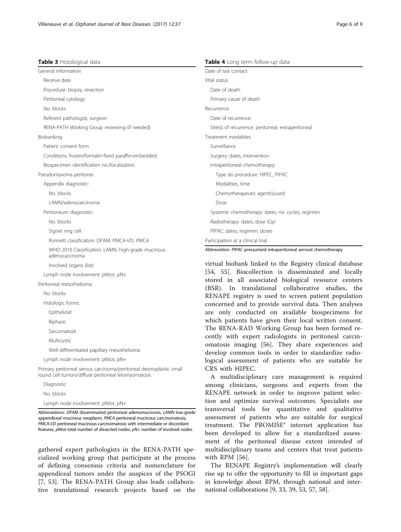<span id="page-5-0"></span>

| Table 3 Histological data                                            | Table 4 Long term follow-up data                                     |  |
|----------------------------------------------------------------------|----------------------------------------------------------------------|--|
| General information                                                  | Date of last contact                                                 |  |
| Receive date                                                         | Vital status                                                         |  |
| Procedure: biopsy, resection                                         | Date of death                                                        |  |
| Peritoneal cytology                                                  | Primary cause of death                                               |  |
| No. blocks                                                           | Recurrence                                                           |  |
| Referent pathologist, surgeon                                        | Date of recurrence                                                   |  |
| RENA-PATH Working Group reviewing (if needed)                        | Site(s) of recurrence: peritoneal, extraperitoneal                   |  |
| Biobanking                                                           | Treatment modalities                                                 |  |
| Patient consent form                                                 | Surveillance                                                         |  |
| Conditions: frozen/formalin-fixed paraffin-embedded                  | Surgery: dates, intervention                                         |  |
| Biospecimen identification no./localization                          | Intraperitoneal chemotherapy:                                        |  |
| Pseudomyxoma peritonei                                               | Type do procedure: HIPEC, PIPAC                                      |  |
| Appendix diagnostic:                                                 | Modalities, time                                                     |  |
| No. blocks                                                           | Chemotherapeutic agent(s)used                                        |  |
| LAMN/adenocarcinoma                                                  | Dose                                                                 |  |
| Peritoneum diagnostic:                                               | Systemic chemotherapy: dates, no. cycles, regimen                    |  |
| No. blocks                                                           | Radiotherapy: dates, dose (Gy)                                       |  |
| Signet ring cell                                                     | PIPAC: dates, regimen, doses                                         |  |
| Ronnett classification: DPAM, PMCA-I/D, PMCA                         | Participation at a clinical trial                                    |  |
| WHO 2010 Classification: LAMN, high-grade mucinous<br>adenocarcinoma | Abbreviation: PIPAC pressurized intraperitoneal aerosol chemotherapy |  |
| Involved organs (list)                                               | virtual biobank linked to the Registry clinical database             |  |

[[54, 55\]](#page-8-0). Biocollection is disseminated and locally stored in all associated biological resource centers (BSR). In translational collaborative studies, the RENAPE registry is used to screen patient population concerned and to provide survival data. Then analyses are only conducted on available biospecimens for which patients have given their local written consent. The RENA-RAD Working Group has been formed recently with expert radiologists in peritoneal carcinomatosis imaging [[56\]](#page-8-0). They share experiences and develop common tools in order to standardize radiological assessment of patients who are suitable for CRS with HIPEC.

A multidisciplinary care management is required among clinicians, surgeons and experts from the RENAPE network in order to improve patient selection and optimize survival outcomes. Specialists use transversal tools for quantitative and qualitative assessment of patients who are suitable for surgical treatment. The PROMISE® internet application has been developed to allow for a standardized assessment of the peritoneal disease extent intended of multidisciplinary teams and centers that treat patients with RPM [[56\]](#page-8-0).

The RENAPE Registry's implementation will clearly rise up to offer the opportunity to fill in important gaps in knowledge about RPM, through national and international collaborations [\[9](#page-7-0), [33](#page-8-0), [39, 53, 57, 58\]](#page-8-0).

Diagnostic

No. blocks

Lymph node involvement: pNtot, pN+

Well-differentiated papillary mesothelioma Lymph node involvement: pNtot, pN+

round cell tumors/diffuse peritoneal leiomyomatosis

Involved organs (list)

Peritoneal mesothelioma

No. blocks Histologic forms: Epithelioïd Biphasic Sarcomatoïd Multicystic

Lymph node involvement: pNtot, pN+

Abbreviations: DPAM disseminated peritoneal adenomucinosis, LAMN low-grade appendiceal mucinous neoplasm, PMCA peritoneal mucinous carcinomatosis, PMCA-I/D peritoneal mucinous carcinomatosis with intermediate or discordant features, pNtot total number of dissected nodes, pN+ number of involved nodes

Primary peritoneal serous carcinoma/peritoneal desmoplastic small

gathered expert pathologists in the RENA-PATH specialized working group that participate at the process of defining consensus criteria and nomenclature for appendiceal tumors under the auspices of the PSOGI [[7,](#page-7-0) [53](#page-8-0)]. The RENA-PATH Group also leads collaborative translational research projects based on the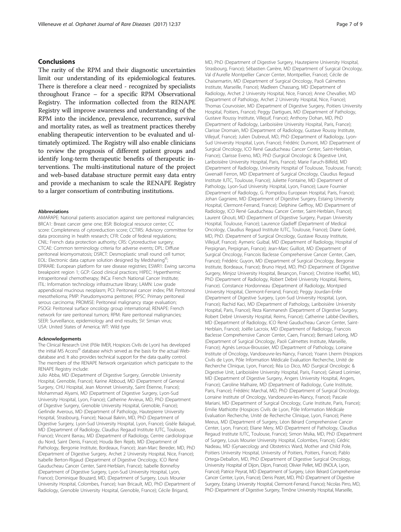# Conclusions

The rarity of the RPM and their diagnostic uncertainties limit our understanding of its epidemiological features. There is therefore a clear need - recognized by specialists throughout France – for a specific RPM Observational Registry. The information collected from the RENAPE Registry will improve awareness and understanding of the RPM into the incidence, prevalence, recurrence, survival and mortality rates, as well as treatment practices thereby enabling therapeutic intervention to be evaluated and ultimately optimized. The Registry will also enable clinicians to review the prognosis of different patient groups and identify long-term therapeutic benefits of therapeutic interventions. The multi-institutional nature of the project and web-based database structure permit easy data entry and provide a mechanism to scale the RENAPE Registry to a larger consortium of contributing institutions.

#### Abbreviations

AMARAPE: National patients association against rare peritoneal malignancies; BRCA1: Breast cancer gene one; BSR: Biological resource center; CC score: Completeness of cytoreduction score; CCTIRS: Advisory committee for data processing in health research; CFR: Code of federal regulations; CNIL: French data protection authority; CRS: Cytoreductive surgery; CTCAE: Common terminology criteria for adverse events; DPL: Diffuse peritoneal leiomyomatosis; DSRCT: Desmoplastic small round cell tumor; EOL: Electronic data capture solution designed by Medsharing<sup>®</sup>; EPIRARE: European platform for rare disease registries; ESWR1: Ewing sarcoma breakpoint region 1; GCP: Good clinical practices; HIPEC: Hyperthermic intraperitoneal chemotherapy; INCa: French National Cancer Institute; ITIL: Information technology infrastructure library; LAMN: Low grade appendiceal mucinous neoplasm; PCI: Peritoneal cancer index; PM: Peritoneal mesothelioma; PMP: Pseudomyxoma peritonei; PPSC: Primary peritoneal serous carcinoma; PROMISE: Peritoneal malignancy stage evaluation; PSOGI: Peritoneal surface oncology group international; RENAPE: French network for rare peritoneal tumors; RPM: Rare peritoneal malignancies; SEER: Surveillance, epidemiology and end results; SV: Simian virus; USA: United States of America; WT: Wild type

#### Acknowledgements

The Clinical Research Unit (Pôle IMER, Hospices Civils de Lyon) has developed the initial MS Access<sup>®</sup> database which served as the basis for the actual Webdatabase and. It also provides technical support for the data quality control. The members of the RENAPE Network organization which participate to the RENAPE Registry include:

Julio Abba, MD (Department of Digestive Surgery, Grenoble University Hospital, Grenoble, France); Karine Abboud, MD (Department of General Surgery, CHU Hospital, Jean Monnet University, Saint Étienne, France); Mohammad Alyami, MD (Department of Digestive Surgery, Lyon-Sud University Hospital, Lyon, France); Catherine Arvieux, MD, PhD (Department of Digestive Surgery, Grenoble University Hospital, Grenoble, France); Gerlinde Averous, MD (Department of Pathology, Hautepierre University Hospital, Strasbourg, France); Naoual Bakrin, MD, PhD (Department of Digestive Surgery, Lyon-Sud University Hospital, Lyon, France); Gisèle Balagué, MD (Department of Radiology, Claudius Regaud Institute IUTC, Toulouse, France); Vincent Barrau, MD (Department of Radiology, Centre cardiologique du Nord, Saint Denis, France); Houda Ben Rejeb, MD (Department of Pathology, Bergonie Institute, Bordeaux, France); Jean-Marc Bereder, MD, PhD (Department of Digestive Surgery, Archet 2 University Hospital, Nice, France); Isabelle Berton-Rigaud (Department of Digestive Oncology, ICO René Gauducheau Cancer Center, Saint-Herblain, France); Isabelle Bonnefoy (Department of Digestive Surgery, Lyon-Sud University Hospital, Lyon, France); Dominique Bouzard, MD, (Department of Surgery, Louis Mourier University Hospital, Colombes, France); Ivan Bricault, MD, PhD (Department of Radiology, Grenoble University Hospital, Grenoble, France); Cécile Brigand,

MD, PhD (Department of Digestive Surgery, Hautepierre University Hospital, Strasbourg, France); Sébastien Carrère, MD (Department of Surgical Oncology, Val d'Aurelle Montpellier Cancer Center, Montpellier, France); Cécile de Chaisemartin, MD (Department of Surgical Oncology, Paoli Calmettes Institute, Marseille, France); Madleen Chassang, MD (Department of Radiology, Archet 2 University Hospital, Nice, France); Anne Chevallier, MD (Department of Pathology, Archet 2 University Hospital, Nice, France); Thomas Courvoisier, MD (Department of Digestive Surgery, Poitiers University Hospital, Poitiers, France); Peggy Dartigues, MD (Department of Pathology, Gustave Roussy Institute, Villejuif, France); Anthony Dohan, MD, PhD (Department of Radiology, Lariboisière University Hospital, Paris, France); Clarisse Dromain, MD (Department of Radiology, Gustave Roussy Institute, Villejuif, France); Julien Dubreuil, MD, PhD (Department of Radiology, Lyon-Sud University Hospital, Lyon, France); Frédéric Dumont, MD (Department of Surgical Oncology, ICO René Gauducheau Cancer Center, Saint-Herblain, France); Clarisse Eveno, MD, PhD (Surgical Oncologic & Digestive Unit, Lariboisière University Hospital, Paris, France); Marie Faruch-Bilfeld, MD (Department of Radiology, University Hospital of Toulouse, Toulouse, France); Gwenaël Ferron, MD (Department of Surgical Oncology, Claudius Regaud Institute IUTC, Toulouse, France); Juliette Fontaine, MD (Department of Pathology, Lyon-Sud University Hospital, Lyon, France); Laure Fournier (Department of Radiology, G. Pompidou European Hospital, Paris, France); Johan Gagniere, MD (Department of Digestive Surgery, Estaing University Hospital, Clermont-Ferrand, France); Delphine Geffroy, MD (Department of Radiology, ICO René Gauducheau Cancer Center, Saint-Herblain, France); Laurent Ghouti, MD (Department of Digestive Surgery, Purpan University Hospital, Toulouse, France); Laurence Gladieff (Department of Medical Oncology, Claudius Regaud Institute IUTC, Toulouse, France); Diane Goéré, MD, PhD. (Department of Surgical Oncology, Gustave Roussy Institute, Villejuif, France); Aymeric Guibal, MD (Department of Radiology, Hospital of Perpignan, Perpignan, France); Jean-Marc Guilloit, MD (Department of Surgical Oncology, Francois Baclesse Comprehensive Cancer Center, Caen, France); Frédéric Guyon, MD (Department of Surgical Oncology, Bergonie Institute, Bordeaux, France); Bruno Heyd, MD, PhD (Department of Digestive Surgery, Minjoz University Hospital, Besançon, France); Christine Hoeffel, MD, PhD (Department of Radiology, Robert Debré University Hospital, Reims, France). Constance Hordonneau (Department of Radiology, Montpied University Hospital, Clermont-Ferrand, France); Peggy Jourdan-Enfer (Department of Digestive Surgery, Lyon-Sud University Hospital, Lyon, France); Rachid Kaci, MD (Department of Pathology, Lariboisière University Hospital, Paris, France); Reza Kianmanesh (Department of Digestive Surgery, Robert Debré University Hospital, Reims, France); Catherine Labbé-Devilliers, MD (Department of Radiology, ICO René Gauducheau Cancer Center, Saint-Herblain, France); Joëlle Lacroix, MD (Department of Radiology, Francois Baclesse Comprehensive Cancer Center, Caen, France); Bernard Lelong, MD (Department of Surgical Oncology, Paoli Calmettes Institute, Marseille, France); Agnès Leroux-Broussier, MD (Department of Pathology, Lorraine Institute of Oncology, Vandoeuvre-les-Nancy, France); Yoann Lherm (Hospices Civils de Lyon, Pôle Information Médicale Evaluation Recherche, Unité de Recherche Clinique, Lyon, France); Réa Lo Dico, MD (Surgical Oncologic & Digestive Unit, Lariboisière University Hospital, Paris, France); Gérard Lorimier, MD (Department of Digestive Surgery, Angers University Hospital, Angers, France); Caroline Malhaire, MD (Department of Radiology, Curie Institute, Paris, France); Frédéric Marchal, MD, PhD (Department of Surgical Oncology, Lorraine Institute of Oncology, Vandoeuvre-les-Nancy, France); Pascale Mariani, MD (Department of Surgical Oncology, Curie Institute, Paris, France); Emilie Mathiotte (Hospices Civils de Lyon, Pôle Information Médicale Evaluation Recherche, Unité de Recherche Clinique, Lyon, France); Pierre Meeus, MD (Department of Surgery, Léon Bérard Comprehensive Cancer Center, Lyon, France); Eliane Mery, MD (Department of Pathology, Claudius Regaud Institute IUTC, Toulouse, France); Simon Msika, MD, PhD (Department of Surgery, Louis Mourier University Hospital, Colombes, France); Cédric Nadeau, MD (Gynaecology and Obstetrics Ward, Mother and Child Pole, Poitiers University Hospital, University of Poitiers, Poitiers, France); Pablo Ortega-Deballon, MD, PhD (Department of Digestive Surgical Oncology, University Hospital of Dijon, Dijon, France); Olivier Pellet, MD (INOLA, Lyon, France); Patrice Peyrat, MD (Department of Surgery, Léon Bérard Comprehensive Cancer Center, Lyon, France); Denis Pezet, MD, PhD (Department of Digestive Surgery, Estaing University Hospital, Clermont-Ferrand, France); Nicolas Pirro, MD, PhD (Department of Digestive Surgery, Timône University Hospital, Marseille,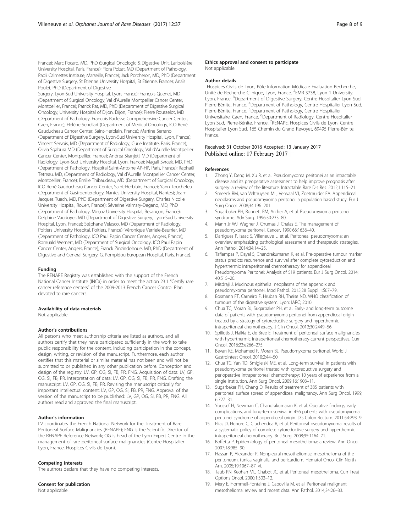<span id="page-7-0"></span>France); Marc Pocard, MD, PhD (Surgical Oncologic & Digestive Unit, Lariboisière University Hospital, Paris, France); Flora Poizat, MD (Department of Pathology, Paoli Calmettes Institute, Marseille, France); Jack Porcheron, MD, PhD (Department of Digestive Surgery, St Etienne University Hospital, St Etienne, France); Anaïs Poulet, PhD (Department of Digestive

Surgery, Lyon-Sud University Hospital, Lyon, France); François Quenet, MD (Department of Surgical Oncology, Val d'Aurelle Montpellier Cancer Center, Montpellier, France); Patrick Rat, MD, PhD (Department of Digestive Surgical Oncology, University Hospital of Dijon, Dijon, France); Pierre Rousselot, MD (Department of Pathology, Francois Baclesse Comprehensive Cancer Center, Caen, France); Hélène Senellart (Department of Medical Oncology, ICO René Gauducheau Cancer Center, Saint-Herblain, France); Martine Serrano (Department of Digestive Surgery, Lyon-Sud University Hospital, Lyon, France); Vincent Servois, MD (Department of Radiology, Curie Institute, Paris, France); Olivia Sgabura MD (Department of Surgical Oncology, Val d'Aurelle Montpellier Cancer Center, Montpellier, France); Andrea Skanjeti, MD (Department of Radiology, Lyon-Sud University Hospital, Lyon, France); Magali Svrcek, MD, PhD (Department of Pathology, Hospital Saint-Antoine AP-HP, Paris, France); Raphaël Tetreau, MD, (Department of Radiology, Val d'Aurelle Montpellier Cancer Center, Montpellier, France); Emilie Thibaudeau, MD (Department of Surgical Oncology, ICO René Gauducheau Cancer Center, Saint-Herblain, France); Yann Touchefeu (Department of Gastroenterology, Nantes University Hospital, Nantes); Jean-Jacques Tuech, MD, PhD (Department of Digestive Surgery, Charles Nicolle University Hospital, Rouen, France); Séverine Valmary-Degano, MD, PhD (Department of Pathology, Minjoz University Hospital, Besançon, France); Delphine Vaudoyer, MD (Department of Digestive Surgery, Lyon-Sud University Hospital, Lyon, France); Stéphane Velasco, MD (Department of Radiology, Poitiers University Hospital, Poitiers, France); Véronique Verriele-Beurrier, MD (Department of Pathology, ICO Paul Papin Cancer Center, Angers, France); Romuald Wernert, MD (Department of Surgical Oncology, ICO Paul Papin Cancer Center, Angers, France); Franck Zinzindohoue, MD, PhD (Department of Digestive and General Surgery, G. Pompidou European Hospital, Paris, France).

#### Funding

The RENAPE Registry was established with the support of the French National Cancer Institute (INCa) in order to meet the action 23.1 "Certify rare cancer reference centers" of the 2009-2013 French Cancer Control Plan devoted to rare cancers.

#### Availability of data materials

Not applicable.

## Author's contributions

All persons who meet authorship criteria are listed as authors, and all authors certify that they have participated sufficiently in the work to take public responsibility for the content, including participation in the concept, design, writing, or revision of the manuscript. Furthermore, each author certifies that this material or similar material has not been and will not be submitted to or published in any other publication before. Conception and design of the registry: LV, GP, OG, SI, FB, PR, FNG. Acquisition of data: LV, GP, OG, SI, FB, PR. Interpretation of data: LV, GP, OG, SI, FB, PR, FNG. Drafting the manuscript: LV, GP, OG, SI, FB, PR. Revising the manuscript critically for important intellectual content: LV, GP, OG, SI, FB, PR, FNG. Approval of the version of the manuscript to be published: LV, GP, OG, SI, FB, PR, FNG. All authors read and approved the final manuscript.

#### Author's information

LV coordinates the French National Network for the Treatment of Rare Peritoneal Surface Malignancies (RENAPE); FNG is the Scientific Director of the RENAPE Reference Network; OG is head of the Lyon Expert Centre in the management of rare peritoneal surface malignancies (Centre Hospitalier Lyon, France, Hospices Civils de Lyon).

#### Competing interests

The authors declare that they have no competing interests.

#### Consent for publication

Not applicable.

#### Ethics approval and consent to participate

Not applicable.

#### Author details

<sup>1</sup> Hospices Civils de Lyon, Pôle Information Médicale Evaluation Recherche, Unité de Recherche Clinique, Lyon, France. <sup>2</sup>EMR 3738, Lyon 1 University Lyon, France. <sup>3</sup>Department of Digestive Surgery, Centre Hospitalier Lyon Sud, Pierre-Bénite, France. <sup>4</sup>Department of Pathology, Centre Hospitalier Lyon Sud Pierre-Bénite, France. <sup>5</sup>Department of Pathology, Centre Hospitalier Universitaire, Caen, France. <sup>6</sup>Department of Radiology, Centre Hospitalier Lyon Sud, Pierre-Bénite, France. <sup>7</sup>RENAPE, Hospices Civils de Lyon, Centre Hospitalier Lyon Sud, 165 Chemin du Grand Revoyet, 69495 Pierre-Bénite, France.

# Received: 31 October 2016 Accepted: 13 January 2017 Published online: 17 February 2017

#### References

- 1. Zhong Y, Deng M, Xu R, et al. Pseudomyxoma peritonei as an intractable disease and its preoperative assessment to help improve prognosis after surgery: a review of the literature. Intractable Rare Dis Res. 2012;1:115–21.
- 2. Smeenk RM, van Velthuysen ML, Verwaal VJ, Zoetmulder FA. Appendiceal neoplasms and pseudomyxoma peritonei: a population based study. Eur J Surg Oncol. 2008;34:196–201.
- 3. Sugarbaker PH, Ronnett BM, Archer A, et al. Pseudomyxoma peritonei syndrome. Adv Surg. 1996;30:233–80.
- 4. Mann Jr WJ, Wagner J, Chumas J, Chalas E. The management of pseudomyxoma peritonei. Cancer. 1990;66:1636–40.
- 5. Dartigues P, Isaac S, Villeneuve L, et al. Peritoneal pseudomyxoma: an overview emphasizing pathological assessment and therapeutic strategies. Ann Pathol. 2014;34:14–25.
- 6. Taflampas P, Dayal S, Chandrakumaran K, et al. Pre-operative tumour marker status predicts recurrence and survival after complete cytoreduction and hyperthermic intraperitoneal chemotherapy for appendiceal Pseudomyxoma Peritonei: Analysis of 519 patients. Eur J Surg Oncol. 2014; 40:515–20.
- 7. Misdraji J. Mucinous epithelial neoplasms of the appendix and pseudomyxoma peritonei. Mod Pathol. 2015;28 Suppl 1:S67–79.
- 8. Bosmann FT, Carneiro F, Hruban RH, Theise ND. WHO classification of tumours of the digestive system. Lyon: IARC; 2010.
- 9. Chua TC, Moran BJ, Sugarbaker PH, et al. Early- and long-term outcome data of patients with pseudomyxoma peritonei from appendiceal origin treated by a strategy of cytoreductive surgery and hyperthermic intraperitoneal chemotherapy. J Clin Oncol. 2012;30:2449–56.
- 10. Spiliotis J, Halkia E, de Bree E. Treatment of peritoneal surface malignancies with hyperthermic intraperitoneal chemotherapy-current perspectives. Curr Oncol. 2016;23:e266–275.
- 11. Bevan KE, Mohamed F, Moran BJ. Pseudomyxoma peritonei. World J Gastrointest Oncol. 2010;2:44–50.
- 12. Chua TC, Yan TD, Smigielski ME, et al. Long-term survival in patients with pseudomyxoma peritonei treated with cytoreductive surgery and perioperative intraperitoneal chemotherapy: 10 years of experience from a single institution. Ann Surg Oncol. 2009;16:1903–11.
- 13. Sugarbaker PH, Chang D. Results of treatment of 385 patients with peritoneal surface spread of appendiceal malignancy. Ann Surg Oncol. 1999; 6:727–31.
- 14. Youssef H, Newman C, Chandrakumaran K, et al. Operative findings, early complications, and long-term survival in 456 patients with pseudomyxoma peritonei syndrome of appendiceal origin. Dis Colon Rectum. 2011;54:293–9.
- 15. Elias D, Honore C, Ciuchendea R, et al. Peritoneal pseudomyxoma: results of a systematic policy of complete cytoreductive surgery and hyperthermic intraperitoneal chemotherapy. Br J Surg. 2008;95:1164–71.
- 16. Boffetta P. Epidemiology of peritoneal mesothelioma: a review. Ann Oncol. 2007;18:985–90.
- 17. Hassan R, Alexander R. Nonpleural mesotheliomas: mesothelioma of the peritoneum, tunica vaginalis, and pericardium. Hematol Oncol Clin North Am. 2005;19:1067–87. vi.
- 18. Taub RN, Keohan ML, Chabot JC, et al. Peritoneal mesothelioma. Curr Treat Options Oncol. 2000;1:303–12.
- 19. Mery E, Hommell-Fontaine J, Capovilla M, et al. Peritoneal malignant mesothelioma: review and recent data. Ann Pathol. 2014;34:26–33.